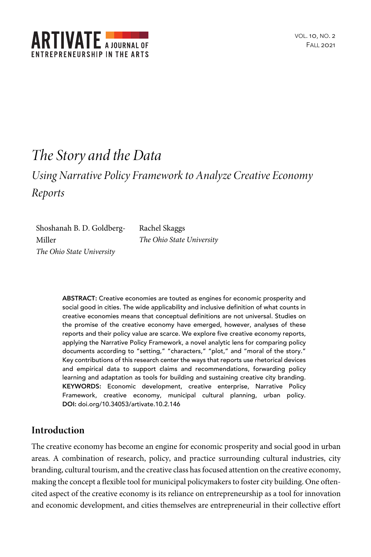

# *The Story and the Data*

## *Using Narrative Policy Framework to Analyze Creative Economy Reports*

Shoshanah B. D. Goldberg-Miller *The Ohio State University*

Rachel Skaggs *The Ohio State University*

**ABSTRACT:** Creative economies are touted as engines for economic prosperity and social good in cities. The wide applicability and inclusive definition of what counts in creative economies means that conceptual definitions are not universal. Studies on the promise of the creative economy have emerged, however, analyses of these reports and their policy value are scarce. We explore five creative economy reports, applying the Narrative Policy Framework, a novel analytic lens for comparing policy documents according to "setting," "characters," "plot," and "moral of the story." Key contributions of this research center the ways that reports use rhetorical devices and empirical data to support claims and recommendations, forwarding policy learning and adaptation as tools for building and sustaining creative city branding. **KEYWORDS:** Economic development, creative enterprise, Narrative Policy Framework, creative economy, municipal cultural planning, urban policy. **DOI:** doi.org/10.34053/artivate.10.2.146

## **Introduction**

The creative economy has become an engine for economic prosperity and social good in urban areas. A combination of research, policy, and practice surrounding cultural industries, city branding, cultural tourism, and the creative class has focused attention on the creative economy, making the concept a flexible tool for municipal policymakers to foster city building. One oftencited aspect of the creative economy is its reliance on entrepreneurship as a tool for innovation and economic development, and cities themselves are entrepreneurial in their collective effort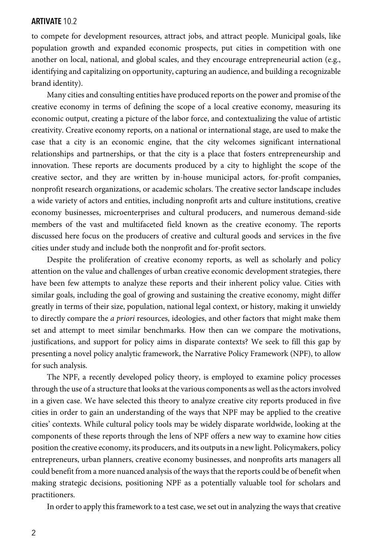to compete for development resources, attract jobs, and attract people. Municipal goals, like population growth and expanded economic prospects, put cities in competition with one another on local, national, and global scales, and they encourage entrepreneurial action (e.g., identifying and capitalizing on opportunity, capturing an audience, and building a recognizable brand identity).

Many cities and consulting entities have produced reports on the power and promise of the creative economy in terms of defining the scope of a local creative economy, measuring its economic output, creating a picture of the labor force, and contextualizing the value of artistic creativity. Creative economy reports, on a national or international stage, are used to make the case that a city is an economic engine, that the city welcomes significant international relationships and partnerships, or that the city is a place that fosters entrepreneurship and innovation. These reports are documents produced by a city to highlight the scope of the creative sector, and they are written by in-house municipal actors, for-profit companies, nonprofit research organizations, or academic scholars. The creative sector landscape includes a wide variety of actors and entities, including nonprofit arts and culture institutions, creative economy businesses, microenterprises and cultural producers, and numerous demand-side members of the vast and multifaceted field known as the creative economy. The reports discussed here focus on the producers of creative and cultural goods and services in the five cities under study and include both the nonprofit and for-profit sectors.

Despite the proliferation of creative economy reports, as well as scholarly and policy attention on the value and challenges of urban creative economic development strategies, there have been few attempts to analyze these reports and their inherent policy value. Cities with similar goals, including the goal of growing and sustaining the creative economy, might differ greatly in terms of their size, population, national legal context, or history, making it unwieldy to directly compare the *a priori* resources, ideologies, and other factors that might make them set and attempt to meet similar benchmarks. How then can we compare the motivations, justifications, and support for policy aims in disparate contexts? We seek to fill this gap by presenting a novel policy analytic framework, the Narrative Policy Framework (NPF), to allow for such analysis.

The NPF, a recently developed policy theory, is employed to examine policy processes through the use of a structure that looks at the various components as well as the actors involved in a given case. We have selected this theory to analyze creative city reports produced in five cities in order to gain an understanding of the ways that NPF may be applied to the creative cities' contexts. While cultural policy tools may be widely disparate worldwide, looking at the components of these reports through the lens of NPF offers a new way to examine how cities position the creative economy, its producers, and its outputs in a new light. Policymakers, policy entrepreneurs, urban planners, creative economy businesses, and nonprofits arts managers all could benefit from a more nuanced analysis of the ways that the reports could be of benefit when making strategic decisions, positioning NPF as a potentially valuable tool for scholars and practitioners.

In order to apply this framework to a test case, we set out in analyzing the waysthat creative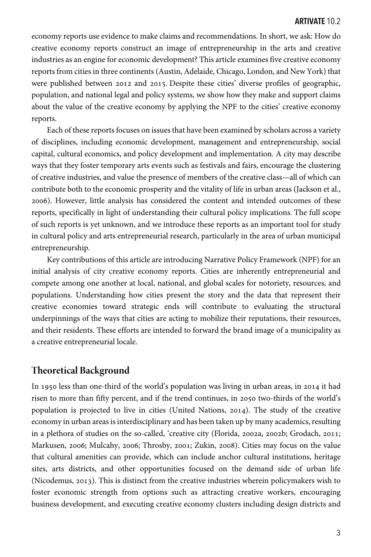economy reports use evidence to make claims and recommendations. In short, we ask: How do creative economy reports construct an image of entrepreneurship in the arts and creative industries as an engine for economic development? This article examines five creative economy reports from cities in three continents (Austin, Adelaide, Chicago, London, and New York) that were published between 2012 and 2015. Despite these cities' diverse profiles of geographic, population, and national legal and policy systems, we show how they make and support claims about the value of the creative economy by applying the NPF to the cities' creative economy reports.

Each of these reports focuses on issues that have been examined by scholars across a variety of disciplines, including economic development, management and entrepreneurship, social capital, cultural economics, and policy development and implementation. A city may describe ways that they foster temporary arts events such as festivals and fairs, encourage the clustering of creative industries, and value the presence of members of the creative class—all of which can contribute both to the economic prosperity and the vitality of life in urban areas (Jackson et al., ). However, little analysis has considered the content and intended outcomes of these reports, specifically in light of understanding their cultural policy implications. The full scope of such reports is yet unknown, and we introduce these reports as an important tool for study in cultural policy and arts entrepreneurial research, particularly in the area of urban municipal entrepreneurship.

Key contributions of this article are introducing Narrative Policy Framework (NPF) for an initial analysis of city creative economy reports. Cities are inherently entrepreneurial and compete among one another at local, national, and global scales for notoriety, resources, and populations. Understanding how cities present the story and the data that represent their creative economies toward strategic ends will contribute to evaluating the structural underpinnings of the ways that cities are acting to mobilize their reputations, their resources, and their residents. These efforts are intended to forward the brand image of a municipality as a creative entrepreneurial locale.

## **Theoretical Background**

In 1950 less than one-third of the world's population was living in urban areas, in 2014 it had risen to more than fifty percent, and if the trend continues, in 2050 two-thirds of the world's population is projected to live in cities (United Nations, 2014). The study of the creative economy in urban areas is interdisciplinary and has been taken up by many academics, resulting in a plethora of studies on the so-called, 'creative city (Florida, 2002a, 2002b; Grodach, 2011; Markusen, 2006; Mulcahy, 2006; Throsby, 2001; Zukin, 2008). Cities may focus on the value that cultural amenities can provide, which can include anchor cultural institutions, heritage sites, arts districts, and other opportunities focused on the demand side of urban life (Nicodemus, 2013). This is distinct from the creative industries wherein policymakers wish to foster economic strength from options such as attracting creative workers, encouraging business development, and executing creative economy clusters including design districts and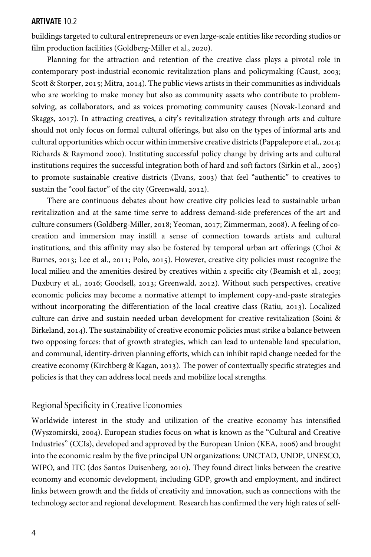buildings targeted to cultural entrepreneurs or even large-scale entities like recording studios or film production facilities (Goldberg-Miller et al., 2020).

Planning for the attraction and retention of the creative class plays a pivotal role in contemporary post-industrial economic revitalization plans and policymaking (Caust, 2003; Scott & Storper, 2015; Mitra, 2014). The public views artists in their communities as individuals who are working to make money but also as community assets who contribute to problemsolving, as collaborators, and as voices promoting community causes (Novak-Leonard and Skaggs, 2017). In attracting creatives, a city's revitalization strategy through arts and culture should not only focus on formal cultural offerings, but also on the types of informal arts and cultural opportunities which occur within immersive creative districts (Pappalepore et al., 2014; Richards & Raymond 2000). Instituting successful policy change by driving arts and cultural institutions requires the successful integration both of hard and soft factors (Sirkin et al., 2005) to promote sustainable creative districts (Evans, 2003) that feel "authentic" to creatives to sustain the "cool factor" of the city (Greenwald, 2012).

There are continuous debates about how creative city policies lead to sustainable urban revitalization and at the same time serve to address demand-side preferences of the art and culture consumers (Goldberg-Miller, 2018; Yeoman, 2017; Zimmerman, 2008). A feeling of cocreation and immersion may instill a sense of connection towards artists and cultural institutions, and this affinity may also be fostered by temporal urban art offerings (Choi & Burnes,  $2013$ ; Lee et al.,  $2011$ ; Polo,  $2015$ ). However, creative city policies must recognize the local milieu and the amenities desired by creatives within a specific city (Beamish et al., 2003; Duxbury et al., 2016; Goodsell, 2013; Greenwald, 2012). Without such perspectives, creative economic policies may become a normative attempt to implement copy-and-paste strategies without incorporating the differentiation of the local creative class (Ratiu, 2013). Localized culture can drive and sustain needed urban development for creative revitalization (Soini & Birkeland, 2014). The sustainability of creative economic policies must strike a balance between two opposing forces: that of growth strategies, which can lead to untenable land speculation, and communal, identity-driven planning efforts, which can inhibit rapid change needed for the creative economy (Kirchberg & Kagan, 2013). The power of contextually specific strategies and policies is that they can address local needs and mobilize local strengths.

#### Regional Specificity in Creative Economies

Worldwide interest in the study and utilization of the creative economy has intensified (Wyszomirski, 2004). European studies focus on what is known as the "Cultural and Creative Industries" (CCIs), developed and approved by the European Union (KEA, 2006) and brought into the economic realm by the five principal UN organizations: UNCTAD, UNDP, UNESCO, WIPO, and ITC (dos Santos Duisenberg, 2010). They found direct links between the creative economy and economic development, including GDP, growth and employment, and indirect links between growth and the fields of creativity and innovation, such as connections with the technology sector and regional development. Research has confirmed the very high rates of self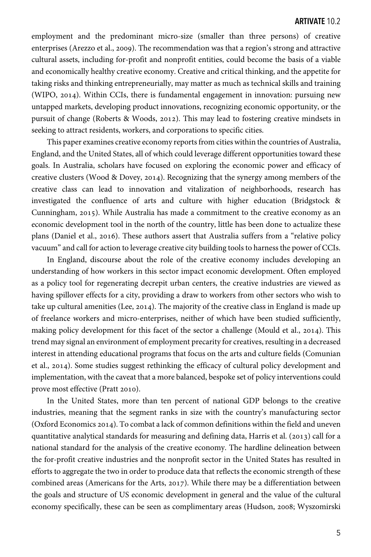employment and the predominant micro-size (smaller than three persons) of creative enterprises (Arezzo et al., 2009). The recommendation was that a region's strong and attractive cultural assets, including for-profit and nonprofit entities, could become the basis of a viable and economically healthy creative economy. Creative and critical thinking, and the appetite for taking risks and thinking entrepreneurially, may matter as much as technical skills and training (WIPO,  $2014$ ). Within CCIs, there is fundamental engagement in innovation: pursuing new untapped markets, developing product innovations, recognizing economic opportunity, or the pursuit of change (Roberts & Woods, 2012). This may lead to fostering creative mindsets in seeking to attract residents, workers, and corporations to specific cities.

This paper examines creative economy reports from cities within the countries of Australia, England, and the United States, all of which could leverage different opportunities toward these goals. In Australia, scholars have focused on exploring the economic power and efficacy of creative clusters (Wood & Dovey, 2014). Recognizing that the synergy among members of the creative class can lead to innovation and vitalization of neighborhoods, research has investigated the confluence of arts and culture with higher education (Bridgstock & Cunningham, 2015). While Australia has made a commitment to the creative economy as an economic development tool in the north of the country, little has been done to actualize these plans (Daniel et al., 2016). These authors assert that Australia suffers from a "relative policy vacuum" and call for action to leverage creative city building tools to harness the power of CCIs.

In England, discourse about the role of the creative economy includes developing an understanding of how workers in this sector impact economic development. Often employed as a policy tool for regenerating decrepit urban centers, the creative industries are viewed as having spillover effects for a city, providing a draw to workers from other sectors who wish to take up cultural amenities (Lee, 2014). The majority of the creative class in England is made up of freelance workers and micro-enterprises, neither of which have been studied sufficiently, making policy development for this facet of the sector a challenge (Mould et al., 2014). This trend may signal an environment of employment precarity for creatives, resulting in a decreased interest in attending educational programs that focus on the arts and culture fields (Comunian et al., 2014). Some studies suggest rethinking the efficacy of cultural policy development and implementation, with the caveat that a more balanced, bespoke set of policy interventions could prove most effective (Pratt 2010).

In the United States, more than ten percent of national GDP belongs to the creative industries, meaning that the segment ranks in size with the country's manufacturing sector (Oxford Economics 2014). To combat a lack of common definitions within the field and uneven quantitative analytical standards for measuring and defining data, Harris et al.  $(2013)$  call for a national standard for the analysis of the creative economy. The hardline delineation between the for-profit creative industries and the nonprofit sector in the United States has resulted in efforts to aggregate the two in order to produce data that reflects the economic strength of these combined areas (Americans for the Arts,  $2017$ ). While there may be a differentiation between the goals and structure of US economic development in general and the value of the cultural economy specifically, these can be seen as complimentary areas (Hudson, 2008; Wyszomirski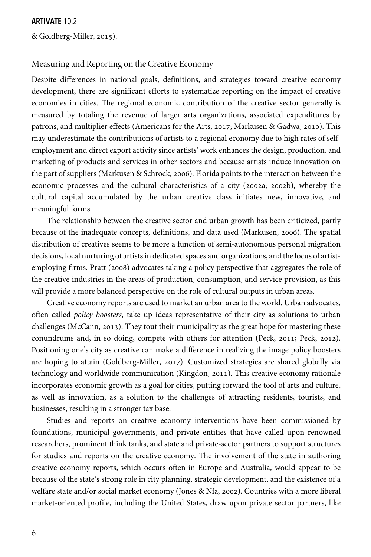& Goldberg-Miller, 2015).

## Measuring and Reporting on the Creative Economy

Despite differences in national goals, definitions, and strategies toward creative economy development, there are significant efforts to systematize reporting on the impact of creative economies in cities. The regional economic contribution of the creative sector generally is measured by totaling the revenue of larger arts organizations, associated expenditures by patrons, and multiplier effects (Americans for the Arts, 2017; Markusen & Gadwa, 2010). This may underestimate the contributions of artists to a regional economy due to high rates of selfemployment and direct export activity since artists' work enhances the design, production, and marketing of products and services in other sectors and because artists induce innovation on the part of suppliers (Markusen & Schrock, 2006). Florida points to the interaction between the economic processes and the cultural characteristics of a city (2002a; 2002b), whereby the cultural capital accumulated by the urban creative class initiates new, innovative, and meaningful forms.

The relationship between the creative sector and urban growth has been criticized, partly because of the inadequate concepts, definitions, and data used (Markusen, 2006). The spatial distribution of creatives seems to be more a function of semi-autonomous personal migration decisions, local nurturing of artists in dedicated spaces and organizations, and the locus of artistemploying firms. Pratt (2008) advocates taking a policy perspective that aggregates the role of the creative industries in the areas of production, consumption, and service provision, as this will provide a more balanced perspective on the role of cultural outputs in urban areas.

Creative economy reports are used to market an urban area to the world. Urban advocates, often called *policy boosters*, take up ideas representative of their city as solutions to urban challenges (McCann,  $2013$ ). They tout their municipality as the great hope for mastering these conundrums and, in so doing, compete with others for attention (Peck, 2011; Peck, 2012). Positioning one's city as creative can make a difference in realizing the image policy boosters are hoping to attain (Goldberg-Miller, 2017). Customized strategies are shared globally via technology and worldwide communication (Kingdon, 2011). This creative economy rationale incorporates economic growth as a goal for cities, putting forward the tool of arts and culture, as well as innovation, as a solution to the challenges of attracting residents, tourists, and businesses, resulting in a stronger tax base.

Studies and reports on creative economy interventions have been commissioned by foundations, municipal governments, and private entities that have called upon renowned researchers, prominent think tanks, and state and private-sector partners to support structures for studies and reports on the creative economy. The involvement of the state in authoring creative economy reports, which occurs often in Europe and Australia, would appear to be because of the state's strong role in city planning, strategic development, and the existence of a welfare state and/or social market economy (Jones & Nfa, 2002). Countries with a more liberal market-oriented profile, including the United States, draw upon private sector partners, like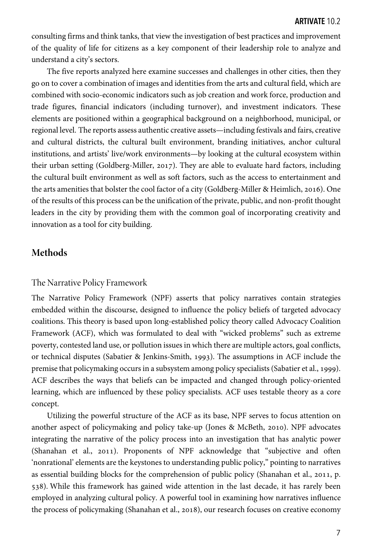consulting firms and think tanks, that view the investigation of best practices and improvement of the quality of life for citizens as a key component of their leadership role to analyze and understand a city's sectors.

The five reports analyzed here examine successes and challenges in other cities, then they go on to cover a combination of images and identities from the arts and cultural field, which are combined with socio-economic indicators such as job creation and work force, production and trade figures, financial indicators (including turnover), and investment indicators. These elements are positioned within a geographical background on a neighborhood, municipal, or regional level. The reports assess authentic creative assets—including festivals and fairs, creative and cultural districts, the cultural built environment, branding initiatives, anchor cultural institutions, and artists' live/work environments—by looking at the cultural ecosystem within their urban setting (Goldberg-Miller, 2017). They are able to evaluate hard factors, including the cultural built environment as well as soft factors, such as the access to entertainment and the arts amenities that bolster the cool factor of a city (Goldberg-Miller & Heimlich, 2016). One of the results of this process can be the unification of the private, public, and non-profit thought leaders in the city by providing them with the common goal of incorporating creativity and innovation as a tool for city building.

## **Methods**

#### The Narrative Policy Framework

The Narrative Policy Framework (NPF) asserts that policy narratives contain strategies embedded within the discourse, designed to influence the policy beliefs of targeted advocacy coalitions. This theory is based upon long-established policy theory called Advocacy Coalition Framework (ACF), which was formulated to deal with "wicked problems" such as extreme poverty, contested land use, or pollution issues in which there are multiple actors, goal conflicts, or technical disputes (Sabatier & Jenkins-Smith, 1993). The assumptions in ACF include the premise that policymaking occurs in a subsystem among policy specialists (Sabatier et al., 1999). ACF describes the ways that beliefs can be impacted and changed through policy-oriented learning, which are influenced by these policy specialists. ACF uses testable theory as a core concept.

Utilizing the powerful structure of the ACF as its base, NPF serves to focus attention on another aspect of policymaking and policy take-up (Jones & McBeth, 2010). NPF advocates integrating the narrative of the policy process into an investigation that has analytic power (Shanahan et al., 2011). Proponents of NPF acknowledge that "subjective and often 'nonrational' elements are the keystones to understanding public policy," pointing to narratives as essential building blocks for the comprehension of public policy (Shanahan et al., 2011, p. ). While this framework has gained wide attention in the last decade, it has rarely been employed in analyzing cultural policy. A powerful tool in examining how narratives influence the process of policymaking (Shanahan et al., 2018), our research focuses on creative economy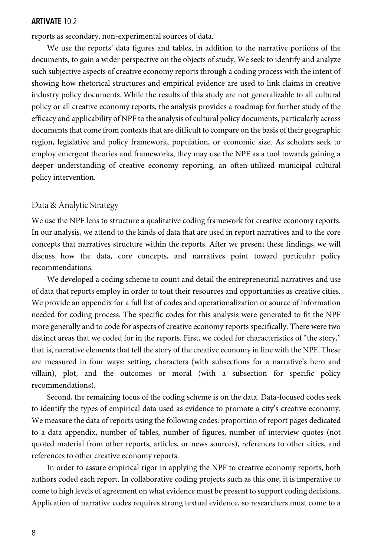reports as secondary, non-experimental sources of data.

We use the reports' data figures and tables, in addition to the narrative portions of the documents, to gain a wider perspective on the objects of study. We seek to identify and analyze such subjective aspects of creative economy reports through a coding process with the intent of showing how rhetorical structures and empirical evidence are used to link claims in creative industry policy documents. While the results of this study are not generalizable to all cultural policy or all creative economy reports, the analysis provides a roadmap for further study of the efficacy and applicability of NPF to the analysis of cultural policy documents, particularly across documents that come from contexts that are difficult to compare on the basis of their geographic region, legislative and policy framework, population, or economic size. As scholars seek to employ emergent theories and frameworks, they may use the NPF as a tool towards gaining a deeper understanding of creative economy reporting, an often-utilized municipal cultural policy intervention.

#### Data & Analytic Strategy

We use the NPF lens to structure a qualitative coding framework for creative economy reports. In our analysis, we attend to the kinds of data that are used in report narratives and to the core concepts that narratives structure within the reports. After we present these findings, we will discuss how the data, core concepts, and narratives point toward particular policy recommendations.

We developed a coding scheme to count and detail the entrepreneurial narratives and use of data that reports employ in order to tout their resources and opportunities as creative cities. We provide an appendix for a full list of codes and operationalization or source of information needed for coding process. The specific codes for this analysis were generated to fit the NPF more generally and to code for aspects of creative economy reports specifically. There were two distinct areas that we coded for in the reports. First, we coded for characteristics of "the story," that is, narrative elements that tell the story of the creative economy in line with the NPF. These are measured in four ways: setting, characters (with subsections for a narrative's hero and villain), plot, and the outcomes or moral (with a subsection for specific policy recommendations).

Second, the remaining focus of the coding scheme is on the data. Data-focused codes seek to identify the types of empirical data used as evidence to promote a city's creative economy. We measure the data of reports using the following codes: proportion of report pages dedicated to a data appendix, number of tables, number of figures, number of interview quotes (not quoted material from other reports, articles, or news sources), references to other cities, and references to other creative economy reports.

In order to assure empirical rigor in applying the NPF to creative economy reports, both authors coded each report. In collaborative coding projects such as this one, it is imperative to come to high levels of agreement on what evidence must be present to support coding decisions. Application of narrative codes requires strong textual evidence, so researchers must come to a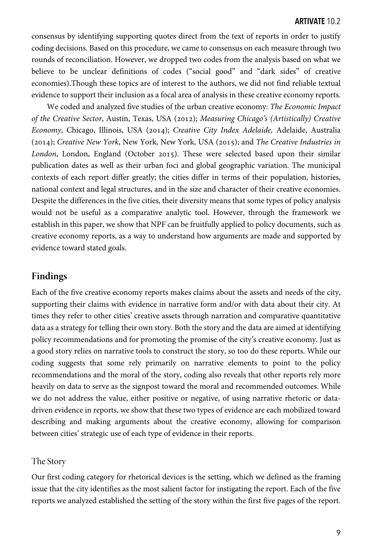consensus by identifying supporting quotes direct from the text of reports in order to justify coding decisions. Based on this procedure, we came to consensus on each measure through two rounds of reconciliation. However, we dropped two codes from the analysis based on what we believe to be unclear definitions of codes ("social good" and "dark sides" of creative economies).Though these topics are of interest to the authors, we did not find reliable textual evidence to support their inclusion as a focal area of analysis in these creative economy reports.

We coded and analyzed five studies of the urban creative economy: *The Economic Impact of the Creative Sector, Austin, Texas, USA (2012); Measuring Chicago's (Artistically) Creative Economy*, Chicago, Illinois, USA (2014); *Creative City Index Adelaide*, Adelaide, Australia (); *Creative New York*, New York, New York, USA (); and *The Creative Industries in London*, London, England (October 2015). These were selected based upon their similar publication dates as well as their urban foci and global geographic variation. The municipal contexts of each report differ greatly; the cities differ in terms of their population, histories, national context and legal structures, and in the size and character of their creative economies. Despite the differences in the five cities, their diversity means that some types of policy analysis would not be useful as a comparative analytic tool. However, through the framework we establish in this paper, we show that NPF can be fruitfully applied to policy documents, such as creative economy reports, as a way to understand how arguments are made and supported by evidence toward stated goals.

## **Findings**

Each of the five creative economy reports makes claims about the assets and needs of the city, supporting their claims with evidence in narrative form and/or with data about their city. At times they refer to other cities' creative assets through narration and comparative quantitative data as a strategy for telling their own story. Both the story and the data are aimed at identifying policy recommendations and for promoting the promise of the city's creative economy. Just as a good story relies on narrative tools to construct the story, so too do these reports. While our coding suggests that some rely primarily on narrative elements to point to the policy recommendations and the moral of the story, coding also reveals that other reports rely more heavily on data to serve as the signpost toward the moral and recommended outcomes. While we do not address the value, either positive or negative, of using narrative rhetoric or datadriven evidence in reports, we show that these two types of evidence are each mobilized toward describing and making arguments about the creative economy, allowing for comparison between cities' strategic use of each type of evidence in their reports.

## The Story

Our first coding category for rhetorical devices is the setting, which we defined as the framing issue that the city identifies as the most salient factor for instigating the report. Each of the five reports we analyzed established the setting of the story within the first five pages of the report.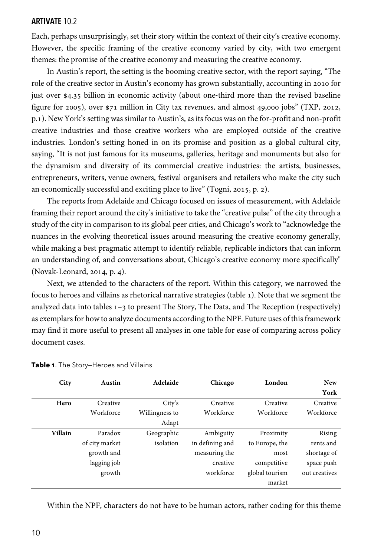Each, perhaps unsurprisingly, set their story within the context of their city's creative economy. However, the specific framing of the creative economy varied by city, with two emergent themes: the promise of the creative economy and measuring the creative economy.

In Austin's report, the setting is the booming creative sector, with the report saying, "The role of the creative sector in Austin's economy has grown substantially, accounting in 2010 for just over  $\frac{1}{3}$  billion in economic activity (about one-third more than the revised baseline figure for 2005), over  $\frac{20}{5}$  million in City tax revenues, and almost 49,000 jobs" (TXP, 2012, p.). New York's setting was similar to Austin's, as its focus was on the for-profit and non-profit creative industries and those creative workers who are employed outside of the creative industries. London's setting honed in on its promise and position as a global cultural city, saying, "It is not just famous for its museums, galleries, heritage and monuments but also for the dynamism and diversity of its commercial creative industries: the artists, businesses, entrepreneurs, writers, venue owners, festival organisers and retailers who make the city such an economically successful and exciting place to live" (Togni, 2015, p. 2).

The reports from Adelaide and Chicago focused on issues of measurement, with Adelaide framing their report around the city's initiative to take the "creative pulse" of the city through a study of the city in comparison to its global peer cities, and Chicago's work to "acknowledge the nuances in the evolving theoretical issues around measuring the creative economy generally, while making a best pragmatic attempt to identify reliable, replicable indictors that can inform an understanding of, and conversations about, Chicago's creative economy more specifically"  $(Nowak-Leonard, 2014, p. 4).$ 

Next, we attended to the characters of the report. Within this category, we narrowed the focus to heroes and villains as rhetorical narrative strategies (table ). Note that we segment the analyzed data into tables  $1-3$  to present The Story, The Data, and The Reception (respectively) as exemplars for how to analyze documents according to the NPF. Future uses of this framework may find it more useful to present all analyses in one table for ease of comparing across policy document cases.

| City    | Austin         | Adelaide       | Chicago         | London         | <b>New</b>    |
|---------|----------------|----------------|-----------------|----------------|---------------|
|         |                |                |                 |                | York          |
| Hero    | Creative       | City's         | Creative        | Creative       | Creative      |
|         | Workforce      | Willingness to | Workforce       | Workforce      | Workforce     |
|         |                | Adapt          |                 |                |               |
| Villain | Paradox        | Geographic     | Ambiguity       | Proximity      | Rising        |
|         | of city market | isolation      | in defining and | to Europe, the | rents and     |
|         | growth and     |                | measuring the   | most           | shortage of   |
|         | lagging job    |                | creative        | competitive    | space push    |
|         | growth         |                | workforce       | global tourism | out creatives |
|         |                |                |                 | market         |               |

| Table 1. The Story-Heroes and Villains |  |
|----------------------------------------|--|
|----------------------------------------|--|

Within the NPF, characters do not have to be human actors, rather coding for this theme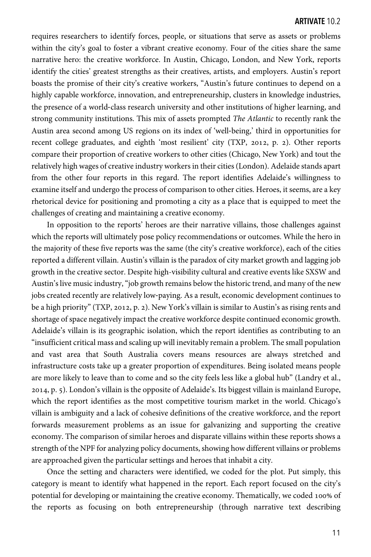requires researchers to identify forces, people, or situations that serve as assets or problems within the city's goal to foster a vibrant creative economy. Four of the cities share the same narrative hero: the creative workforce. In Austin, Chicago, London, and New York, reports identify the cities' greatest strengths as their creatives, artists, and employers. Austin's report boasts the promise of their city's creative workers, "Austin's future continues to depend on a highly capable workforce, innovation, and entrepreneurship, clusters in knowledge industries, the presence of a world-class research university and other institutions of higher learning, and strong community institutions. This mix of assets prompted *The Atlantic* to recently rank the Austin area second among US regions on its index of 'well-being,' third in opportunities for recent college graduates, and eighth 'most resilient' city (TXP, 2012, p. 2). Other reports compare their proportion of creative workers to other cities (Chicago, New York) and tout the relatively high wages of creative industry workers in their cities (London). Adelaide stands apart from the other four reports in this regard. The report identifies Adelaide's willingness to examine itself and undergo the process of comparison to other cities. Heroes, it seems, are a key rhetorical device for positioning and promoting a city as a place that is equipped to meet the challenges of creating and maintaining a creative economy.

In opposition to the reports' heroes are their narrative villains, those challenges against which the reports will ultimately pose policy recommendations or outcomes. While the hero in the majority of these five reports was the same (the city's creative workforce), each of the cities reported a different villain. Austin's villain is the paradox of city market growth and lagging job growth in the creative sector. Despite high-visibility cultural and creative events like SXSW and Austin's live music industry, "job growth remains below the historic trend, and many of the new jobs created recently are relatively low-paying. As a result, economic development continues to be a high priority" (TXP, 2012, p. 2). New York's villain is similar to Austin's as rising rents and shortage of space negatively impact the creative workforce despite continued economic growth. Adelaide's villain is its geographic isolation, which the report identifies as contributing to an "insufficient critical mass and scaling up will inevitably remain a problem. The small population and vast area that South Australia covers means resources are always stretched and infrastructure costs take up a greater proportion of expenditures. Being isolated means people are more likely to leave than to come and so the city feels less like a global hub" (Landry et al., , p. ). London's villain is the opposite of Adelaide's. Its biggest villain is mainland Europe, which the report identifies as the most competitive tourism market in the world. Chicago's villain is ambiguity and a lack of cohesive definitions of the creative workforce, and the report forwards measurement problems as an issue for galvanizing and supporting the creative economy. The comparison of similar heroes and disparate villains within these reports shows a strength of the NPF for analyzing policy documents, showing how different villains or problems are approached given the particular settings and heroes that inhabit a city.

Once the setting and characters were identified, we coded for the plot. Put simply, this category is meant to identify what happened in the report. Each report focused on the city's potential for developing or maintaining the creative economy. Thematically, we coded 100% of the reports as focusing on both entrepreneurship (through narrative text describing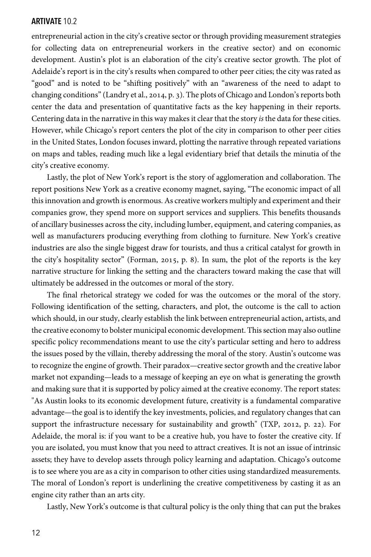entrepreneurial action in the city's creative sector or through providing measurement strategies for collecting data on entrepreneurial workers in the creative sector) and on economic development. Austin's plot is an elaboration of the city's creative sector growth. The plot of Adelaide's report is in the city's results when compared to other peer cities; the city was rated as "good" and is noted to be "shifting positively" with an "awareness of the need to adapt to changing conditions" (Landry et al., 2014, p. 3). The plots of Chicago and London's reports both center the data and presentation of quantitative facts as the key happening in their reports. Centering data in the narrative in this way makes it clear that the story *is* the data for these cities. However, while Chicago's report centers the plot of the city in comparison to other peer cities in the United States, London focuses inward, plotting the narrative through repeated variations on maps and tables, reading much like a legal evidentiary brief that details the minutia of the city's creative economy.

Lastly, the plot of New York's report is the story of agglomeration and collaboration. The report positions New York as a creative economy magnet, saying, "The economic impact of all this innovation and growth is enormous. As creative workers multiply and experiment and their companies grow, they spend more on support services and suppliers. This benefits thousands of ancillary businesses across the city, including lumber, equipment, and catering companies, as well as manufacturers producing everything from clothing to furniture. New York's creative industries are also the single biggest draw for tourists, and thus a critical catalyst for growth in the city's hospitality sector" (Forman, 2015, p. 8). In sum, the plot of the reports is the key narrative structure for linking the setting and the characters toward making the case that will ultimately be addressed in the outcomes or moral of the story.

The final rhetorical strategy we coded for was the outcomes or the moral of the story. Following identification of the setting, characters, and plot, the outcome is the call to action which should, in our study, clearly establish the link between entrepreneurial action, artists, and the creative economy to bolster municipal economic development. This section may also outline specific policy recommendations meant to use the city's particular setting and hero to address the issues posed by the villain, thereby addressing the moral of the story. Austin's outcome was to recognize the engine of growth. Their paradox—creative sector growth and the creative labor market not expanding—leads to a message of keeping an eye on what is generating the growth and making sure that it is supported by policy aimed at the creative economy. The report states: "As Austin looks to its economic development future, creativity is a fundamental comparative advantage—the goal is to identify the key investments, policies, and regulatory changes that can support the infrastructure necessary for sustainability and growth" (TXP, 2012, p. 22). For Adelaide, the moral is: if you want to be a creative hub, you have to foster the creative city. If you are isolated, you must know that you need to attract creatives. It is not an issue of intrinsic assets; they have to develop assets through policy learning and adaptation. Chicago's outcome is to see where you are as a city in comparison to other cities using standardized measurements. The moral of London's report is underlining the creative competitiveness by casting it as an engine city rather than an arts city.

Lastly, New York's outcome is that cultural policy is the only thing that can put the brakes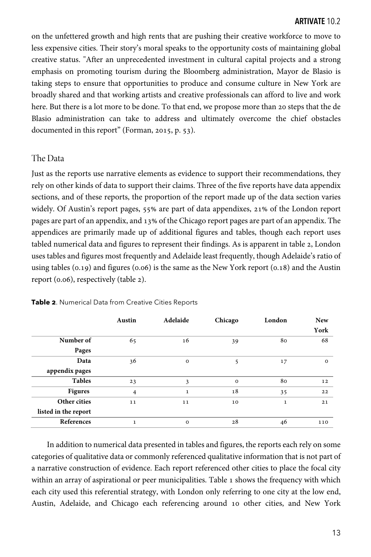on the unfettered growth and high rents that are pushing their creative workforce to move to less expensive cities. Their story's moral speaks to the opportunity costs of maintaining global creative status. "After an unprecedented investment in cultural capital projects and a strong emphasis on promoting tourism during the Bloomberg administration, Mayor de Blasio is taking steps to ensure that opportunities to produce and consume culture in New York are broadly shared and that working artists and creative professionals can afford to live and work here. But there is a lot more to be done. To that end, we propose more than 20 steps that the de Blasio administration can take to address and ultimately overcome the chief obstacles documented in this report" (Forman, 2015, p.  $53$ ).

#### The Data

Just as the reports use narrative elements as evidence to support their recommendations, they rely on other kinds of data to support their claims. Three of the five reports have data appendix sections, and of these reports, the proportion of the report made up of the data section varies widely. Of Austin's report pages, 55% are part of data appendixes, 21% of the London report pages are part of an appendix, and 13% of the Chicago report pages are part of an appendix. The appendices are primarily made up of additional figures and tables, though each report uses tabled numerical data and figures to represent their findings. As is apparent in table 2, London uses tables and figures most frequently and Adelaide least frequently, though Adelaide's ratio of using tables  $(0.19)$  and figures  $(0.06)$  is the same as the New York report  $(0.18)$  and the Austin report  $(0.06)$ , respectively (table 2).

|                      | Austin       | Adelaide     | Chicago     | London       | <b>New</b>   |
|----------------------|--------------|--------------|-------------|--------------|--------------|
|                      |              |              |             |              | York         |
| Number of            | 65           | 16           | 39          | 80           | 68           |
| Pages                |              |              |             |              |              |
| Data                 | 36           | $\circ$      | 5           | 17           | $\mathbf{O}$ |
| appendix pages       |              |              |             |              |              |
| <b>Tables</b>        | 23           | 3            | $\mathbf 0$ | 80           | 12           |
| <b>Figures</b>       | 4            | $\mathbf{1}$ | 18          | 35           | 22           |
| Other cities         | 11           | 11           | 10          | $\mathbf{1}$ | 21           |
| listed in the report |              |              |             |              |              |
| References           | $\mathbf{1}$ | $\circ$      | 28          | 46           | 110          |

**Table 2**. Numerical Data from Creative Cities Reports

In addition to numerical data presented in tables and figures, the reports each rely on some categories of qualitative data or commonly referenced qualitative information that is not part of a narrative construction of evidence. Each report referenced other cities to place the focal city within an array of aspirational or peer municipalities. Table  $\iota$  shows the frequency with which each city used this referential strategy, with London only referring to one city at the low end, Austin, Adelaide, and Chicago each referencing around 10 other cities, and New York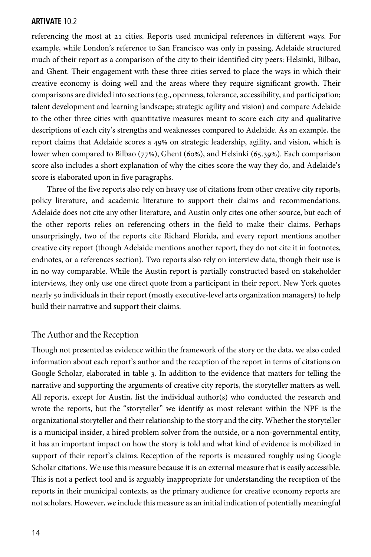referencing the most at 21 cities. Reports used municipal references in different ways. For example, while London's reference to San Francisco was only in passing, Adelaide structured much of their report as a comparison of the city to their identified city peers: Helsinki, Bilbao, and Ghent. Their engagement with these three cities served to place the ways in which their creative economy is doing well and the areas where they require significant growth. Their comparisons are divided into sections (e.g., openness, tolerance, accessibility, and participation; talent development and learning landscape; strategic agility and vision) and compare Adelaide to the other three cities with quantitative measures meant to score each city and qualitative descriptions of each city's strengths and weaknesses compared to Adelaide. As an example, the report claims that Adelaide scores a 49% on strategic leadership, agility, and vision, which is lower when compared to Bilbao  $(77%)$ , Ghent (60%), and Helsinki (65.39%). Each comparison score also includes a short explanation of why the cities score the way they do, and Adelaide's score is elaborated upon in five paragraphs.

Three of the five reports also rely on heavy use of citations from other creative city reports, policy literature, and academic literature to support their claims and recommendations. Adelaide does not cite any other literature, and Austin only cites one other source, but each of the other reports relies on referencing others in the field to make their claims. Perhaps unsurprisingly, two of the reports cite Richard Florida, and every report mentions another creative city report (though Adelaide mentions another report, they do not cite it in footnotes, endnotes, or a references section). Two reports also rely on interview data, though their use is in no way comparable. While the Austin report is partially constructed based on stakeholder interviews, they only use one direct quote from a participant in their report. New York quotes nearly 50 individuals in their report (mostly executive-level arts organization managers) to help build their narrative and support their claims.

## The Author and the Reception

Though not presented as evidence within the framework of the story or the data, we also coded information about each report's author and the reception of the report in terms of citations on Google Scholar, elaborated in table 3. In addition to the evidence that matters for telling the narrative and supporting the arguments of creative city reports, the storyteller matters as well. All reports, except for Austin, list the individual author(s) who conducted the research and wrote the reports, but the "storyteller" we identify as most relevant within the NPF is the organizational storyteller and their relationship to the story and the city. Whether the storyteller is a municipal insider, a hired problem solver from the outside, or a non-governmental entity, it has an important impact on how the story is told and what kind of evidence is mobilized in support of their report's claims. Reception of the reports is measured roughly using Google Scholar citations. We use this measure because it is an external measure that is easily accessible. This is not a perfect tool and is arguably inappropriate for understanding the reception of the reports in their municipal contexts, as the primary audience for creative economy reports are not scholars. However, we include this measure as an initial indication of potentially meaningful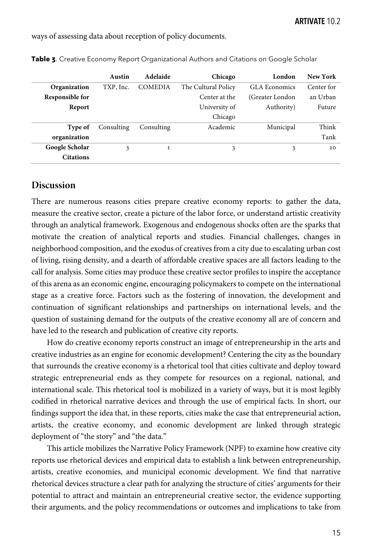ways of assessing data about reception of policy documents.

|                  | Austin     | Adelaide       | Chicago             | London           | New York   |
|------------------|------------|----------------|---------------------|------------------|------------|
| Organization     | TXP, Inc.  | <b>COMEDIA</b> | The Cultural Policy | GLA Economics    | Center for |
| Responsible for  |            |                | Center at the       | (Greater London) | an Urban   |
| Report           |            |                | University of       | Authority)       | Future     |
|                  |            |                | Chicago             |                  |            |
| Type of          | Consulting | Consulting     | Academic            | Municipal        | Think      |
| organization     |            |                |                     |                  | Tank       |
| Google Scholar   | 3          | $\mathbf{1}$   | 3                   | 3                | 10         |
| <b>Citations</b> |            |                |                     |                  |            |

**Table 3**. Creative Economy Report Organizational Authors and Citations on Google Scholar

## **Discussion**

There are numerous reasons cities prepare creative economy reports: to gather the data, measure the creative sector, create a picture of the labor force, or understand artistic creativity through an analytical framework. Exogenous and endogenous shocks often are the sparks that motivate the creation of analytical reports and studies. Financial challenges, changes in neighborhood composition, and the exodus of creatives from a city due to escalating urban cost of living, rising density, and a dearth of affordable creative spaces are all factors leading to the call for analysis. Some cities may produce these creative sector profiles to inspire the acceptance of this arena as an economic engine, encouraging policymakers to compete on the international stage as a creative force. Factors such as the fostering of innovation, the development and continuation of significant relationships and partnerships on international levels, and the question of sustaining demand for the outputs of the creative economy all are of concern and have led to the research and publication of creative city reports.

How do creative economy reports construct an image of entrepreneurship in the arts and creative industries as an engine for economic development? Centering the city as the boundary that surrounds the creative economy is a rhetorical tool that cities cultivate and deploy toward strategic entrepreneurial ends as they compete for resources on a regional, national, and international scale. This rhetorical tool is mobilized in a variety of ways, but it is most legibly codified in rhetorical narrative devices and through the use of empirical facts. In short, our findings support the idea that, in these reports, cities make the case that entrepreneurial action, artists, the creative economy, and economic development are linked through strategic deployment of "the story" and "the data."

This article mobilizes the Narrative Policy Framework (NPF) to examine how creative city reports use rhetorical devices and empirical data to establish a link between entrepreneurship, artists, creative economies, and municipal economic development. We find that narrative rhetorical devices structure a clear path for analyzing the structure of cities' arguments for their potential to attract and maintain an entrepreneurial creative sector, the evidence supporting their arguments, and the policy recommendations or outcomes and implications to take from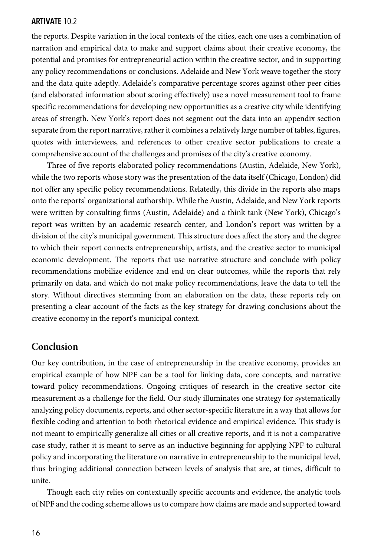the reports. Despite variation in the local contexts of the cities, each one uses a combination of narration and empirical data to make and support claims about their creative economy, the potential and promises for entrepreneurial action within the creative sector, and in supporting any policy recommendations or conclusions. Adelaide and New York weave together the story and the data quite adeptly. Adelaide's comparative percentage scores against other peer cities (and elaborated information about scoring effectively) use a novel measurement tool to frame specific recommendations for developing new opportunities as a creative city while identifying areas of strength. New York's report does not segment out the data into an appendix section separate from the report narrative, rather it combines a relatively large number of tables, figures, quotes with interviewees, and references to other creative sector publications to create a comprehensive account of the challenges and promises of the city's creative economy.

Three of five reports elaborated policy recommendations (Austin, Adelaide, New York), while the two reports whose story was the presentation of the data itself (Chicago, London) did not offer any specific policy recommendations. Relatedly, this divide in the reports also maps onto the reports' organizational authorship. While the Austin, Adelaide, and New York reports were written by consulting firms (Austin, Adelaide) and a think tank (New York), Chicago's report was written by an academic research center, and London's report was written by a division of the city's municipal government. This structure does affect the story and the degree to which their report connects entrepreneurship, artists, and the creative sector to municipal economic development. The reports that use narrative structure and conclude with policy recommendations mobilize evidence and end on clear outcomes, while the reports that rely primarily on data, and which do not make policy recommendations, leave the data to tell the story. Without directives stemming from an elaboration on the data, these reports rely on presenting a clear account of the facts as the key strategy for drawing conclusions about the creative economy in the report's municipal context.

## **Conclusion**

Our key contribution, in the case of entrepreneurship in the creative economy, provides an empirical example of how NPF can be a tool for linking data, core concepts, and narrative toward policy recommendations. Ongoing critiques of research in the creative sector cite measurement as a challenge for the field. Our study illuminates one strategy for systematically analyzing policy documents, reports, and other sector-specific literature in a way that allows for flexible coding and attention to both rhetorical evidence and empirical evidence. This study is not meant to empirically generalize all cities or all creative reports, and it is not a comparative case study, rather it is meant to serve as an inductive beginning for applying NPF to cultural policy and incorporating the literature on narrative in entrepreneurship to the municipal level, thus bringing additional connection between levels of analysis that are, at times, difficult to unite.

Though each city relies on contextually specific accounts and evidence, the analytic tools of NPF and the coding scheme allows us to compare howclaims are made and supported toward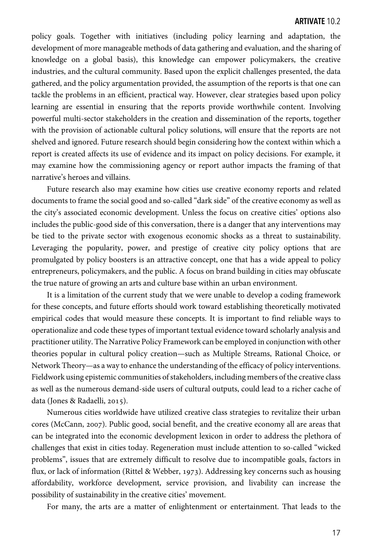policy goals. Together with initiatives (including policy learning and adaptation, the development of more manageable methods of data gathering and evaluation, and the sharing of knowledge on a global basis), this knowledge can empower policymakers, the creative industries, and the cultural community. Based upon the explicit challenges presented, the data gathered, and the policy argumentation provided, the assumption of the reports is that one can tackle the problems in an efficient, practical way. However, clear strategies based upon policy learning are essential in ensuring that the reports provide worthwhile content. Involving powerful multi-sector stakeholders in the creation and dissemination of the reports, together with the provision of actionable cultural policy solutions, will ensure that the reports are not shelved and ignored. Future research should begin considering how the context within which a report is created affects its use of evidence and its impact on policy decisions. For example, it may examine how the commissioning agency or report author impacts the framing of that narrative's heroes and villains.

Future research also may examine how cities use creative economy reports and related documents to frame the social good and so-called "dark side" of the creative economy as well as the city's associated economic development. Unless the focus on creative cities' options also includes the public-good side of this conversation, there is a danger that any interventions may be tied to the private sector with exogenous economic shocks as a threat to sustainability. Leveraging the popularity, power, and prestige of creative city policy options that are promulgated by policy boosters is an attractive concept, one that has a wide appeal to policy entrepreneurs, policymakers, and the public. A focus on brand building in cities may obfuscate the true nature of growing an arts and culture base within an urban environment.

It is a limitation of the current study that we were unable to develop a coding framework for these concepts, and future efforts should work toward establishing theoretically motivated empirical codes that would measure these concepts. It is important to find reliable ways to operationalize and code these types of important textual evidence toward scholarly analysis and practitioner utility. The Narrative Policy Framework can be employed in conjunction with other theories popular in cultural policy creation—such as Multiple Streams, Rational Choice, or Network Theory—as a way to enhance the understanding of the efficacy of policy interventions. Fieldwork using epistemic communities of stakeholders, including members of the creative class as well as the numerous demand-side users of cultural outputs, could lead to a richer cache of data (Jones & Radaelli, 2015).

Numerous cities worldwide have utilized creative class strategies to revitalize their urban cores (McCann, 2007). Public good, social benefit, and the creative economy all are areas that can be integrated into the economic development lexicon in order to address the plethora of challenges that exist in cities today. Regeneration must include attention to so-called "wicked problems", issues that are extremely difficult to resolve due to incompatible goals, factors in flux, or lack of information (Rittel & Webber, 1973). Addressing key concerns such as housing affordability, workforce development, service provision, and livability can increase the possibility of sustainability in the creative cities' movement.

For many, the arts are a matter of enlightenment or entertainment. That leads to the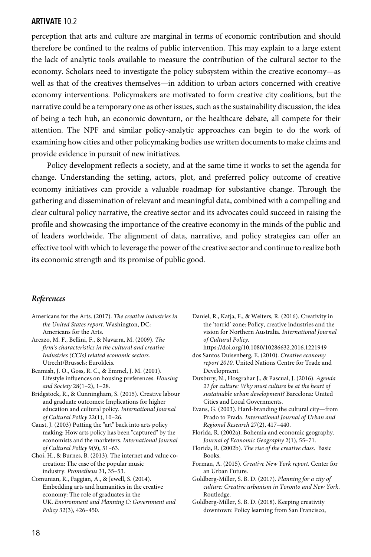perception that arts and culture are marginal in terms of economic contribution and should therefore be confined to the realms of public intervention. This may explain to a large extent the lack of analytic tools available to measure the contribution of the cultural sector to the economy. Scholars need to investigate the policy subsystem within the creative economy—as well as that of the creatives themselves—in addition to urban actors concerned with creative economy interventions. Policymakers are motivated to form creative city coalitions, but the narrative could be a temporary one as other issues, such as the sustainability discussion, the idea of being a tech hub, an economic downturn, or the healthcare debate, all compete for their attention. The NPF and similar policy-analytic approaches can begin to do the work of examining how cities and other policymaking bodies use written documents to make claims and provide evidence in pursuit of new initiatives.

Policy development reflects a society, and at the same time it works to set the agenda for change. Understanding the setting, actors, plot, and preferred policy outcome of creative economy initiatives can provide a valuable roadmap for substantive change. Through the gathering and dissemination of relevant and meaningful data, combined with a compelling and clear cultural policy narrative, the creative sector and its advocates could succeed in raising the profile and showcasing the importance of the creative economy in the minds of the public and of leaders worldwide. The alignment of data, narrative, and policy strategies can offer an effective tool with which to leverage the power of the creative sector and continue to realize both its economic strength and its promise of public good.

#### *References*

- Americans for the Arts. (2017). *The creative industries in the United States report*. Washington, DC: Americans for the Arts.
- Arezzo, M. F., Bellini, F., & Navarra, M. (2009). *The firm's characteristics in the cultural and creative Industries (CCIs) related economic sectors.* Utrecht/Brussels: Eurokleis.
- Beamish, J. O., Goss, R. C., & Emmel, J. M. (2001). Lifestyle influences on housing preferences. *Housing and Society* 28(1–2), 1–28.
- Bridgstock, R., & Cunningham, S. (2015). Creative labour and graduate outcomes: Implications for higher education and cultural policy. *International Journal of Cultural Policy* 22(1), 10–26.
- Caust, J. (2003) Putting the "art" back into arts policy making: How arts policy has been "captured" by the economists and the marketers. *International Journal of Cultural Policy* 9(9), 51–63.
- Choi, H., & Burnes, B. (2013). The internet and value cocreation: The case of the popular music industry. *Prometheus* 31, 35–53.
- Comunian, R., Faggian, A., & Jewell, S. (2014). Embedding arts and humanities in the creative economy: The role of graduates in the UK. *Environment and Planning C: Government and Policy* 32(3), 426–450.
- Daniel, R., Katja, F., & Welters, R. (2016). Creativity in the 'torrid' zone: Policy, creative industries and the vision for Northern Australia. *International Journal of Cultural Policy*.
- https://doi.org/10.1080/10286632.2016.1221949 dos Santos Duisenberg, E. (2010). *Creative economy report 2010*. United Nations Centre for Trade and Development.
- Duxbury, N., Hosgrahar J., & Pascual, J. (2016). *Agenda 21 for culture: Why must culture be at the heart of sustainable urban development?* Barcelona: United Cities and Local Governments.
- Evans, G. (2003). Hard-branding the cultural city—from Prado to Prada. *International Journal of Urban and Regional Research* 27(2), 417–440.
- Florida, R. (2002a). Bohemia and economic geography. *Journal of Economic Geography* 2(1), 55–71.
- Florida, R. (2002b). *The rise of the creative class*. Basic Books.
- Forman, A. (2015). *Creative New York report*. Center for an Urban Future.
- Goldberg-Miller, S. B. D. (2017). *Planning for a city of culture: Creative urbanism in Toronto and New York*. Routledge.
- Goldberg-Miller, S. B. D. (2018). Keeping creativity downtown: Policy learning from San Francisco,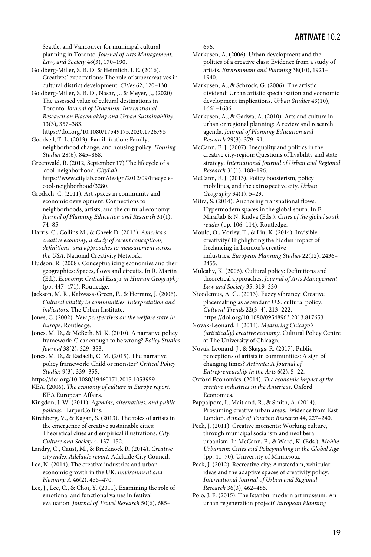Seattle, and Vancouver for municipal cultural planning in Toronto*. Journal of Arts Management, Law, and Society* 48(3), 170–190.

Goldberg-Miller, S. B. D. & Heimlich, J. E. (2016). Creatives' expectations: The role of supercreatives in cultural district development. *Cities* 62, 120–130.

Goldberg-Miller, S. B. D., Nasar, J., & Meyer, J., (2020). The assessed value of cultural destinations in Toronto. *Journal of Urbanism: International Research on Placemaking and Urban Sustainability*. 13(3), 357–383.

https://doi.org/10.1080/17549175.2020.1726795 Goodsell, T. L. (2013). Familifícation: Family,

neighborhood change, and housing policy. *Housing Studies* 28(6), 845–868.

Greenwald, R. (2012, September 17) The lifecycle of a 'cool' neighborhood. *CityLab*. https://www.citylab.com/design/2012/09/lifecyclecool-neighborhood/3280.

Grodach, C. (2011). Art spaces in community and economic development: Connections to neighborhoods, artists, and the cultural economy. *Journal of Planning Education and Research* 31(1), 74–85.

Harris, C., Collins M., & Cheek D. (2013). *America's creative economy, a study of recent conceptions, definitions, and approaches to measurement across the USA*. National Creativity Network.

Hudson, R. (2008). Conceptualizing economies and their geographies: Spaces, flows and circuits. In R. Martin (Ed.), *Economy: Critical Essays in Human Geography* (pp. 447–471). Routledge.

Jackson, M. R., Kabwasa-Green, F., & Herranz, J. (2006). *Cultural vitality in communities: Interpretation and indicators*. The Urban Institute.

Jones, C. (2002). *New perspectives on the welfare state in Europe*. Routledge.

Jones, M. D., & McBeth, M. K. (2010). A narrative policy framework: Clear enough to be wrong? *Policy Studies Journal* 38(2), 329–353.

Jones, M. D., & Radaelli, C. M. (2015). The narrative policy framework: Child or monster? *Critical Policy Studies* 9(3), 339–355.

https://doi.org/10.1080/19460171.2015.1053959

KEA. (2006). *The economy of culture in Europe report*. KEA European Affairs.

Kingdon, J. W. (2011). *Agendas, alternatives, and public policies*. HarperCollins.

Kirchberg, V., & Kagan, S. (2013). The roles of artists in the emergence of creative sustainable cities: Theoretical clues and empirical illustrations. *City, Culture and Society* 4, 137–152.

Landry, C., Caust, M., & Brecknock R. (2014). *Creative city index Adelaide report*. Adelaide City Council.

Lee, N. (2014). The creative industries and urban economic growth in the UK. *Environment and Planning A* 46(2), 455–470.

Lee, J., Lee, C., & Choi, Y. (2011). Examining the role of emotional and functional values in festival evaluation. *Journal of Travel Research* 50(6), 685–

696.

Markusen, A. (2006). Urban development and the politics of a creative class: Evidence from a study of artists. *Environment and Planning* 38(10), 1921– 1940.

Markusen, A., & Schrock, G. (2006). The artistic dividend: Urban artistic specialisation and economic development implications. *Urban Studies* 43(10), 1661–1686.

Markusen, A., & Gadwa, A. (2010). Arts and culture in urban or regional planning: A review and research agenda. *Journal of Planning Education and Research* 29(3), 379–91.

McCann, E. J. (2007). Inequality and politics in the creative city-region: Questions of livability and state strategy. *International Journal of Urban and Regional Research* 31(1), 188–196.

McCann, E. J. (2013). Policy boosterism, policy mobilities, and the extrospective city. *Urban Geography* 34(1), 5–29.

Mitra, S. (2014). Anchoring transnational flows: Hypermodern spaces in the global south. In F. Miraftab & N. Kudva (Eds.), *Cities of the global south reader* (pp. 106–114). Routledge.

Mould, O., Vorley, T., & Liu, K. (2014). Invisible creativity? Highlighting the hidden impact of freelancing in London's creative industries. *European Planning Studies* 22(12), 2436– 2455.

Mulcahy, K. (2006). Cultural policy: Definitions and theoretical approaches. *Journal of Arts Management Law and Society* 35, 319–330.

Nicodemus, A. G., (2013). Fuzzy vibrancy: Creative placemaking as ascendant U.S. cultural policy. *Cultural Trends* 22(3–4), 213–222. https://doi.org/10.1080/09548963.2013.817653

Novak-Leonard, J. (2014). *Measuring Chicago's (artistically) creative economy*. Cultural Policy Centre at The University of Chicago.

Novak-Leonard, J., & Skaggs, R. (2017). Public perceptions of artists in communities: A sign of changing times? *Artivate: A Journal of Entrepreneurship in the Arts* 6(2), 5–22.

Oxford Economics. (2014). *The economic impact of the creative industries in the Americas*. Oxford Economics.

Pappalpore, I., Maitland, R., & Smith, A. (2014). Prosuming creative urban areas: Evidence from East London. *Annals of Tourism Research* 44, 227–240.

Peck, J. (2011). Creative moments: Working culture, through municipal socialism and neoliberal urbanism. In McCann, E., & Ward, K. (Eds.), *Mobile Urbanism: Cities and Policymaking in the Global Age* (pp. 41–70). University of Minnesota.

Peck, J. (2012). Recreative city: Amsterdam, vehicular ideas and the adaptive spaces of creativity policy. *International Journal of Urban and Regional Research* 36(3), 462–485.

Polo, J. F. (2015). The Istanbul modern art museum: An urban regeneration project? *European Planning*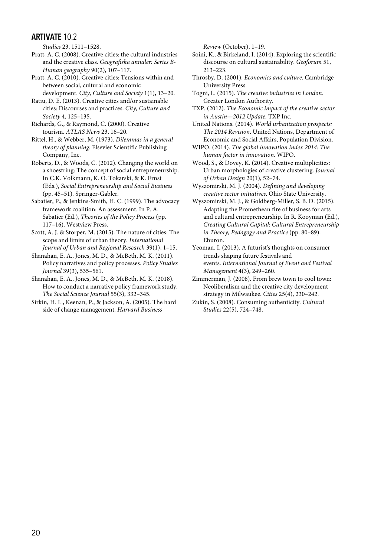*Studies* 23, 1511–1528.

Pratt, A. C. (2008). Creative cities: the cultural industries and the creative class. *Geografiska annaler: Series B-Human geography* 90(2), 107–117.

Pratt, A. C. (2010). Creative cities: Tensions within and between social, cultural and economic development. *City, Culture and Society* 1(1), 13–20.

Ratiu, D. E. (2013). Creative cities and/or sustainable cities: Discourses and practices. *City, Culture and Society* 4, 125–135.

Richards, G., & Raymond, C. (2000). Creative tourism. *ATLAS News* 23, 16–20.

Rittel, H., & Webber, M. (1973). *Dilemmas in a general theory of planning*. Elsevier Scientific Publishing Company, Inc.

Roberts, D., & Woods, C. (2012). Changing the world on a shoestring: The concept of social entrepreneurship. In C.K. Volkmann, K. O. Tokarski, & K. Ernst (Eds.), *Social Entrepreneurship and Social Business*  (pp. 45–51). Springer-Gabler.

Sabatier, P., & Jenkins-Smith, H. C. (1999). The advocacy framework coalition: An assessment. In P. A. Sabatier (Ed.), *Theories of the Policy Process* (pp. 117–16). Westview Press.

Scott, A. J. & Storper, M. (2015). The nature of cities: The scope and limits of urban theory. *International Journal of Urban and Regional Research* 39(1), 1–15.

Shanahan, E. A., Jones, M. D., & McBeth, M. K. (2011). Policy narratives and policy processes. *Policy Studies Journal* 39(3), 535–561.

Shanahan, E. A., Jones, M. D., & McBeth, M. K. (2018). How to conduct a narrative policy framework study. *The Social Science Journal* 55(3), 332–345.

Sirkin, H. L., Keenan, P., & Jackson, A. (2005). The hard side of change management. *Harvard Business* 

*Review* (October), 1–19.

Soini, K., & Birkeland, I. (2014). Exploring the scientific discourse on cultural sustainability. *Geoforum* 51, 213–223.

Throsby, D. (2001). *Economics and culture*. Cambridge University Press.

Togni, L. (2015). *The creative industries in London.* Greater London Authority.

TXP. (2012). *The Economic impact of the creative sector in Austin—2012 Update.* TXP Inc.

United Nations. (2014). *World urbanization prospects: The 2014 Revision*. United Nations, Department of Economic and Social Affairs, Population Division.

WIPO. (2014). *The global innovation index 2014: The human factor in innovation*. WIPO.

Wood, S., & Dovey, K. (2014). Creative multiplicities: Urban morphologies of creative clustering. *Journal of Urban Design* 20(1), 52–74.

Wyszomirski, M. J. (2004). *Defining and developing creative sector initiatives*. Ohio State University.

Wyszomirski, M. J., & Goldberg-Miller, S. B. D. (2015). Adapting the Promethean fire of business for arts and cultural entrepreneurship. In R. Kooyman (Ed.), *Creating Cultural Capital: Cultural Entrepreneurship in Theory, Pedagogy and Practice* (pp. 80–89). Eburon.

Yeoman, I. (2013). A futurist's thoughts on consumer trends shaping future festivals and events. *International Journal of Event and Festival Management* 4(3), 249–260.

Zimmerman, J. (2008). From brew town to cool town: Neoliberalism and the creative city development strategy in Milwaukee. *Cities* 25(4), 230–242.

Zukin, S. (2008). Consuming authenticity. *Cultural Studies* 22(5), 724–748.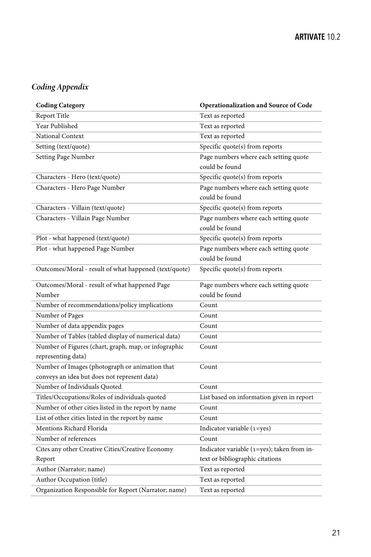## *Coding Appendix*

| <b>Coding Category</b>                                | Operationalization and Source of Code      |
|-------------------------------------------------------|--------------------------------------------|
| Report Title                                          | Text as reported                           |
| Year Published                                        | Text as reported                           |
| National Context                                      | Text as reported                           |
| Setting (text/quote)                                  | Specific quote(s) from reports             |
| Setting Page Number                                   | Page numbers where each setting quote      |
|                                                       | could be found                             |
| Characters - Hero (text/quote)                        | Specific quote(s) from reports             |
| Characters - Hero Page Number                         | Page numbers where each setting quote      |
|                                                       | could be found                             |
| Characters - Villain (text/quote)                     | Specific quote(s) from reports             |
| Characters - Villain Page Number                      | Page numbers where each setting quote      |
|                                                       | could be found                             |
| Plot - what happened (text/quote)                     | Specific quote(s) from reports             |
| Plot - what happened Page Number                      | Page numbers where each setting quote      |
|                                                       | could be found                             |
| Outcomes/Moral - result of what happened (text/quote) | Specific quote(s) from reports             |
| Outcomes/Moral - result of what happened Page         | Page numbers where each setting quote      |
| Number                                                | could be found                             |
| Number of recommendations/policy implications         | Count                                      |
| Number of Pages                                       | Count                                      |
| Number of data appendix pages                         | Count                                      |
| Number of Tables (tabled display of numerical data)   | Count                                      |
| Number of Figures (chart, graph, map, or infographic  | Count                                      |
| representing data)                                    |                                            |
| Number of Images (photograph or animation that        | Count                                      |
| conveys an idea but does not represent data)          |                                            |
| Number of Individuals Quoted                          | Count                                      |
| Titles/Occupations/Roles of individuals quoted        | List based on information given in report  |
| Number of other cities listed in the report by name   | Count                                      |
| List of other cities listed in the report by name     | Count                                      |
| Mentions Richard Florida                              | Indicator variable $(1 = yes)$             |
| Number of references                                  | Count                                      |
| Cites any other Creative Cities/Creative Economy      | Indicator variable (1=yes); taken from in- |
| Report                                                | text or bibliographic citations            |
| Author (Narrator; name)                               | Text as reported                           |
| Author Occupation (title)                             | Text as reported                           |
| Organization Responsible for Report (Narrator; name)  | Text as reported                           |